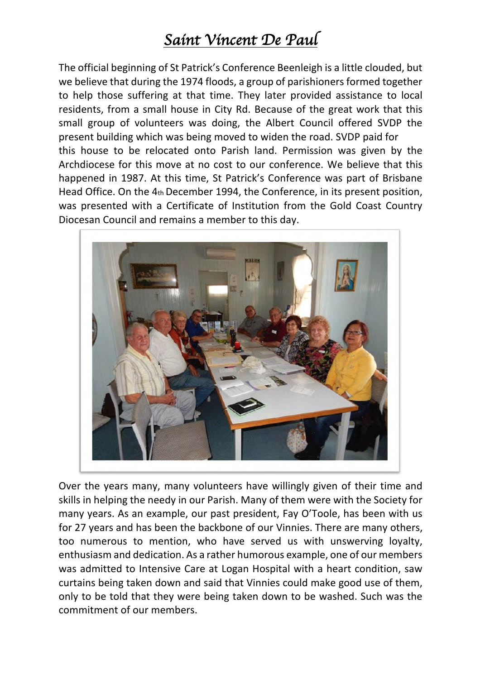## *Saint Vincent De Paul*

The official beginning of St Patrick's Conference Beenleigh is a little clouded, but we believe that during the 1974 floods, a group of parishioners formed together to help those suffering at that time. They later provided assistance to local residents, from a small house in City Rd. Because of the great work that this small group of volunteers was doing, the Albert Council offered SVDP the present building which was being moved to widen the road. SVDP paid for this house to be relocated onto Parish land. Permission was given by the Archdiocese for this move at no cost to our conference. We believe that this happened in 1987. At this time, St Patrick's Conference was part of Brisbane Head Office. On the 4th December 1994, the Conference, in its present position, was presented with a Certificate of Institution from the Gold Coast Country Diocesan Council and remains a member to this day.



Over the years many, many volunteers have willingly given of their time and skills in helping the needy in our Parish. Many of them were with the Society for many years. As an example, our past president, Fay O'Toole, has been with us for 27 years and has been the backbone of our Vinnies. There are many others, too numerous to mention, who have served us with unswerving loyalty, enthusiasm and dedication. As a rather humorous example, one of our members was admitted to Intensive Care at Logan Hospital with a heart condition, saw curtains being taken down and said that Vinnies could make good use of them, only to be told that they were being taken down to be washed. Such was the commitment of our members.